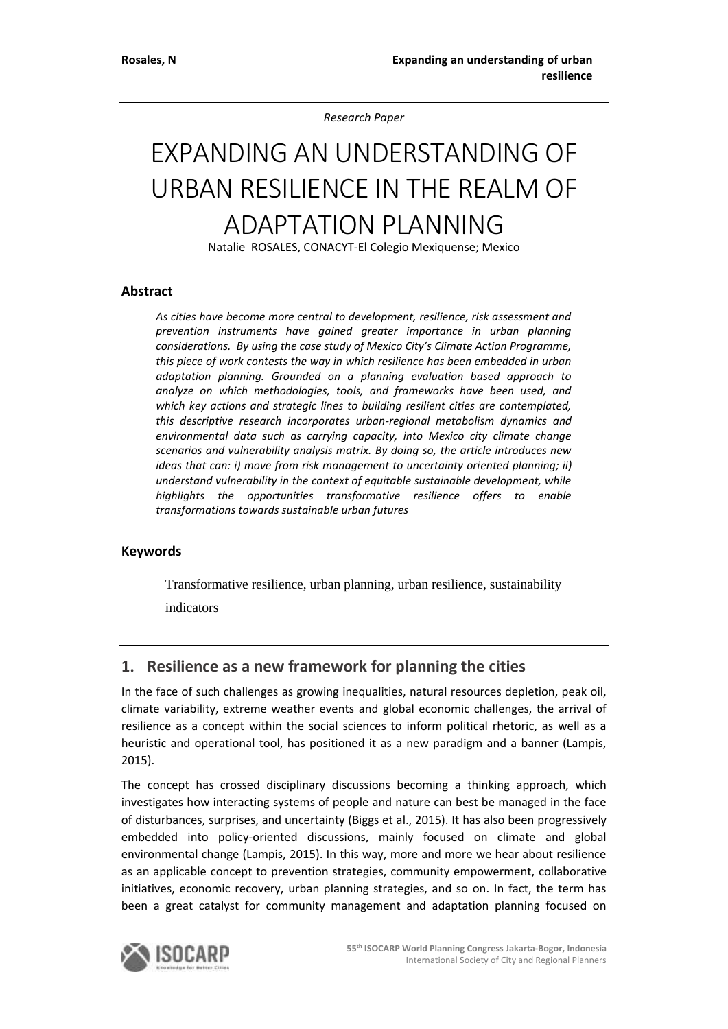*Research Paper* 

# EXPANDING AN UNDERSTANDING OF URBAN RESILIENCE IN THE REALM OF ADAPTATION PLANNING

Natalie ROSALES, CONACYT-El Colegio Mexiquense; Mexico

#### **Abstract**

*As cities have become more central to development, resilience, risk assessment and prevention instruments have gained greater importance in urban planning considerations. By using the case study of Mexico City's Climate Action Programme, this piece of work contests the way in which resilience has been embedded in urban adaptation planning. Grounded on a planning evaluation based approach to analyze on which methodologies, tools, and frameworks have been used, and which key actions and strategic lines to building resilient cities are contemplated, this descriptive research incorporates urban-regional metabolism dynamics and environmental data such as carrying capacity, into Mexico city climate change scenarios and vulnerability analysis matrix. By doing so, the article introduces new ideas that can: i) move from risk management to uncertainty oriented planning; ii) understand vulnerability in the context of equitable sustainable development, while highlights the opportunities transformative resilience offers to enable transformations towards sustainable urban futures*

#### **Keywords**

Transformative resilience, urban planning, urban resilience, sustainability indicators

## **1. Resilience as a new framework for planning the cities**

In the face of such challenges as growing inequalities, natural resources depletion, peak oil, climate variability, extreme weather events and global economic challenges, the arrival of resilience as a concept within the social sciences to inform political rhetoric, as well as a heuristic and operational tool, has positioned it as a new paradigm and a banner (Lampis, 2015).

The concept has crossed disciplinary discussions becoming a thinking approach, which investigates how interacting systems of people and nature can best be managed in the face of disturbances, surprises, and uncertainty (Biggs et al., 2015). It has also been progressively embedded into policy-oriented discussions, mainly focused on climate and global environmental change (Lampis, 2015). In this way, more and more we hear about resilience as an applicable concept to prevention strategies, community empowerment, collaborative initiatives, economic recovery, urban planning strategies, and so on. In fact, the term has been a great catalyst for community management and adaptation planning focused on

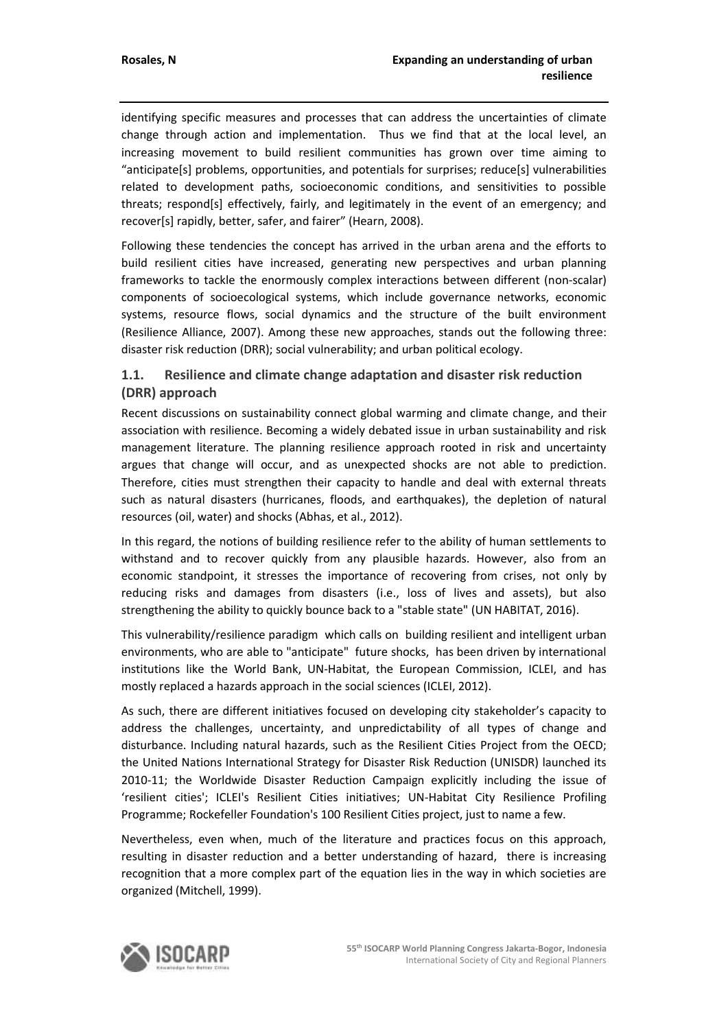identifying specific measures and processes that can address the uncertainties of climate change through action and implementation. Thus we find that at the local level, an increasing movement to build resilient communities has grown over time aiming to "anticipate[s] problems, opportunities, and potentials for surprises; reduce[s] vulnerabilities related to development paths, socioeconomic conditions, and sensitivities to possible threats; respond[s] effectively, fairly, and legitimately in the event of an emergency; and recover[s] rapidly, better, safer, and fairer" (Hearn, 2008).

Following these tendencies the concept has arrived in the urban arena and the efforts to build resilient cities have increased, generating new perspectives and urban planning frameworks to tackle the enormously complex interactions between different (non-scalar) components of socioecological systems, which include governance networks, economic systems, resource flows, social dynamics and the structure of the built environment (Resilience Alliance, 2007). Among these new approaches, stands out the following three: disaster risk reduction (DRR); social vulnerability; and urban political ecology.

## **1.1. Resilience and climate change adaptation and disaster risk reduction (DRR) approach**

Recent discussions on sustainability connect global warming and climate change, and their association with resilience. Becoming a widely debated issue in urban sustainability and risk management literature. The planning resilience approach rooted in risk and uncertainty argues that change will occur, and as unexpected shocks are not able to prediction. Therefore, cities must strengthen their capacity to handle and deal with external threats such as natural disasters (hurricanes, floods, and earthquakes), the depletion of natural resources (oil, water) and shocks (Abhas, et al., 2012).

In this regard, the notions of building resilience refer to the ability of human settlements to withstand and to recover quickly from any plausible hazards. However, also from an economic standpoint, it stresses the importance of recovering from crises, not only by reducing risks and damages from disasters (i.e., loss of lives and assets), but also strengthening the ability to quickly bounce back to a "stable state" (UN HABITAT, 2016).

This vulnerability/resilience paradigm which calls on building resilient and intelligent urban environments, who are able to "anticipate" future shocks, has been driven by international institutions like the World Bank, UN-Habitat, the European Commission, ICLEI, and has mostly replaced a hazards approach in the social sciences (ICLEI, 2012).

As such, there are different initiatives focused on developing city stakeholder's capacity to address the challenges, uncertainty, and unpredictability of all types of change and disturbance. Including natural hazards, such as the Resilient Cities Project from the OECD; the United Nations International Strategy for Disaster Risk Reduction (UNISDR) launched its 2010-11; the Worldwide Disaster Reduction Campaign explicitly including the issue of 'resilient cities'; ICLEI's Resilient Cities initiatives; UN-Habitat City Resilience Profiling Programme; Rockefeller Foundation's 100 Resilient Cities project, just to name a few.

Nevertheless, even when, much of the literature and practices focus on this approach, resulting in disaster reduction and a better understanding of hazard, there is increasing recognition that a more complex part of the equation lies in the way in which societies are organized (Mitchell, 1999).

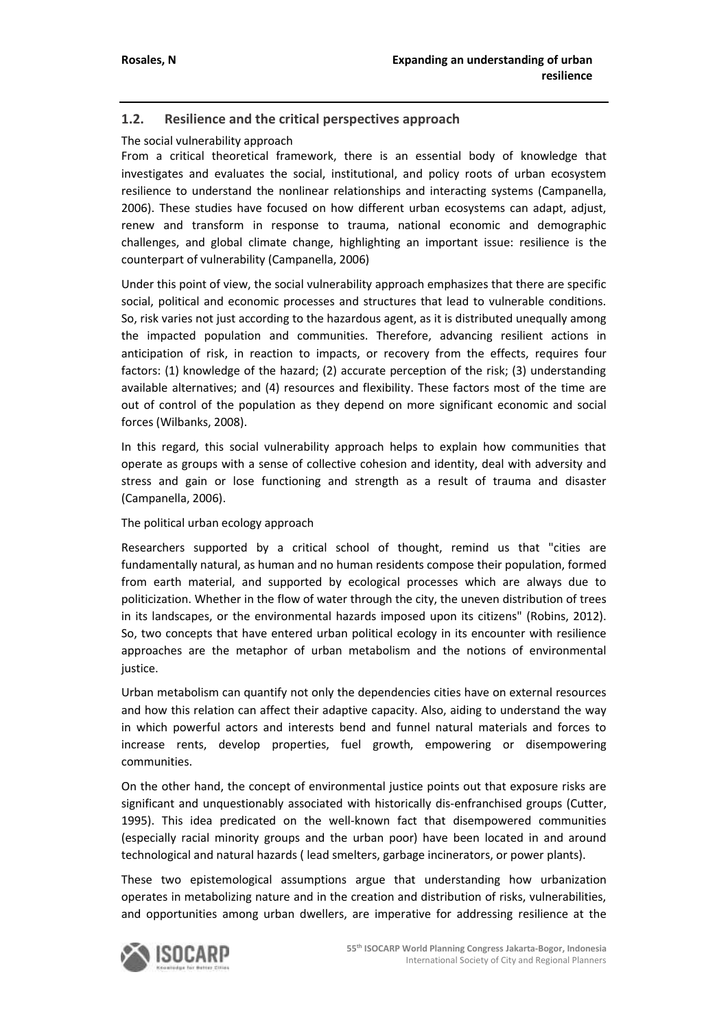## **1.2. Resilience and the critical perspectives approach**

#### The social vulnerability approach

From a critical theoretical framework, there is an essential body of knowledge that investigates and evaluates the social, institutional, and policy roots of urban ecosystem resilience to understand the nonlinear relationships and interacting systems (Campanella, 2006). These studies have focused on how different urban ecosystems can adapt, adjust, renew and transform in response to trauma, national economic and demographic challenges, and global climate change, highlighting an important issue: resilience is the counterpart of vulnerability (Campanella, 2006)

Under this point of view, the social vulnerability approach emphasizes that there are specific social, political and economic processes and structures that lead to vulnerable conditions. So, risk varies not just according to the hazardous agent, as it is distributed unequally among the impacted population and communities. Therefore, advancing resilient actions in anticipation of risk, in reaction to impacts, or recovery from the effects, requires four factors: (1) knowledge of the hazard; (2) accurate perception of the risk; (3) understanding available alternatives; and (4) resources and flexibility. These factors most of the time are out of control of the population as they depend on more significant economic and social forces (Wilbanks, 2008).

In this regard, this social vulnerability approach helps to explain how communities that operate as groups with a sense of collective cohesion and identity, deal with adversity and stress and gain or lose functioning and strength as a result of trauma and disaster (Campanella, 2006).

#### The political urban ecology approach

Researchers supported by a critical school of thought, remind us that "cities are fundamentally natural, as human and no human residents compose their population, formed from earth material, and supported by ecological processes which are always due to politicization. Whether in the flow of water through the city, the uneven distribution of trees in its landscapes, or the environmental hazards imposed upon its citizens" (Robins, 2012). So, two concepts that have entered urban political ecology in its encounter with resilience approaches are the metaphor of urban metabolism and the notions of environmental justice.

Urban metabolism can quantify not only the dependencies cities have on external resources and how this relation can affect their adaptive capacity. Also, aiding to understand the way in which powerful actors and interests bend and funnel natural materials and forces to increase rents, develop properties, fuel growth, empowering or disempowering communities.

On the other hand, the concept of environmental justice points out that exposure risks are significant and unquestionably associated with historically dis-enfranchised groups (Cutter, 1995). This idea predicated on the well-known fact that disempowered communities (especially racial minority groups and the urban poor) have been located in and around technological and natural hazards ( lead smelters, garbage incinerators, or power plants).

These two epistemological assumptions argue that understanding how urbanization operates in metabolizing nature and in the creation and distribution of risks, vulnerabilities, and opportunities among urban dwellers, are imperative for addressing resilience at the

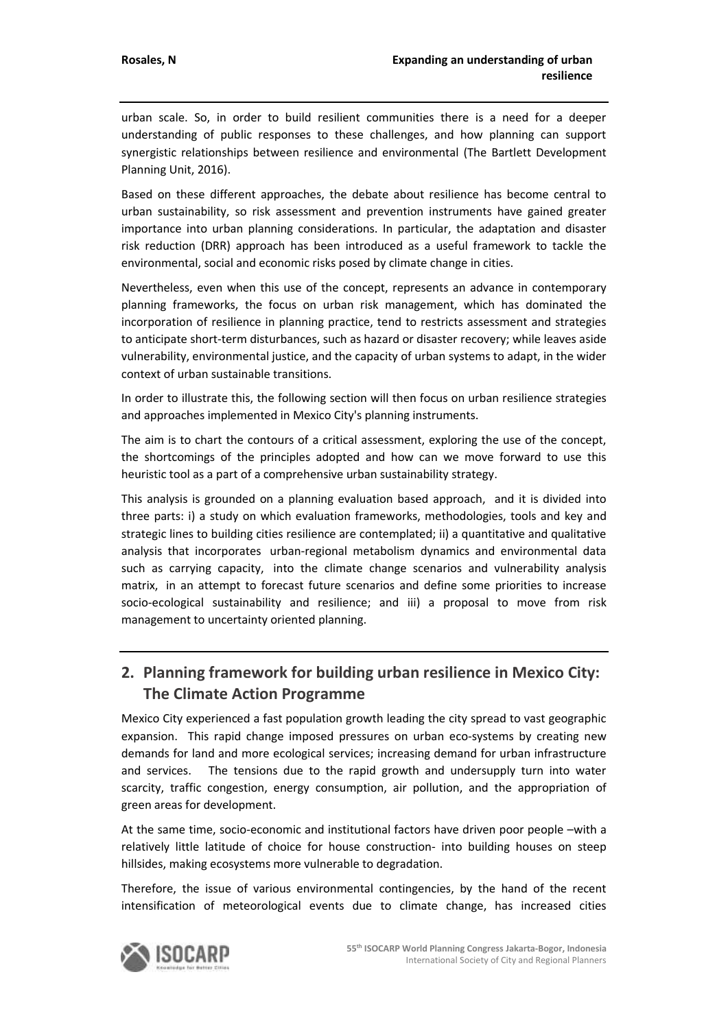urban scale. So, in order to build resilient communities there is a need for a deeper understanding of public responses to these challenges, and how planning can support synergistic relationships between resilience and environmental (The Bartlett Development Planning Unit, 2016).

Based on these different approaches, the debate about resilience has become central to urban sustainability, so risk assessment and prevention instruments have gained greater importance into urban planning considerations. In particular, the adaptation and disaster risk reduction (DRR) approach has been introduced as a useful framework to tackle the environmental, social and economic risks posed by climate change in cities.

Nevertheless, even when this use of the concept, represents an advance in contemporary planning frameworks, the focus on urban risk management, which has dominated the incorporation of resilience in planning practice, tend to restricts assessment and strategies to anticipate short-term disturbances, such as hazard or disaster recovery; while leaves aside vulnerability, environmental justice, and the capacity of urban systems to adapt, in the wider context of urban sustainable transitions.

In order to illustrate this, the following section will then focus on urban resilience strategies and approaches implemented in Mexico City's planning instruments.

The aim is to chart the contours of a critical assessment, exploring the use of the concept, the shortcomings of the principles adopted and how can we move forward to use this heuristic tool as a part of a comprehensive urban sustainability strategy.

This analysis is grounded on a planning evaluation based approach, and it is divided into three parts: i) a study on which evaluation frameworks, methodologies, tools and key and strategic lines to building cities resilience are contemplated; ii) a quantitative and qualitative analysis that incorporates urban-regional metabolism dynamics and environmental data such as carrying capacity, into the climate change scenarios and vulnerability analysis matrix, in an attempt to forecast future scenarios and define some priorities to increase socio-ecological sustainability and resilience; and iii) a proposal to move from risk management to uncertainty oriented planning.

# **2. Planning framework for building urban resilience in Mexico City: The Climate Action Programme**

Mexico City experienced a fast population growth leading the city spread to vast geographic expansion. This rapid change imposed pressures on urban eco-systems by creating new demands for land and more ecological services; increasing demand for urban infrastructure and services. The tensions due to the rapid growth and undersupply turn into water scarcity, traffic congestion, energy consumption, air pollution, and the appropriation of green areas for development.

At the same time, socio-economic and institutional factors have driven poor people –with a relatively little latitude of choice for house construction- into building houses on steep hillsides, making ecosystems more vulnerable to degradation.

Therefore, the issue of various environmental contingencies, by the hand of the recent intensification of meteorological events due to climate change, has increased cities

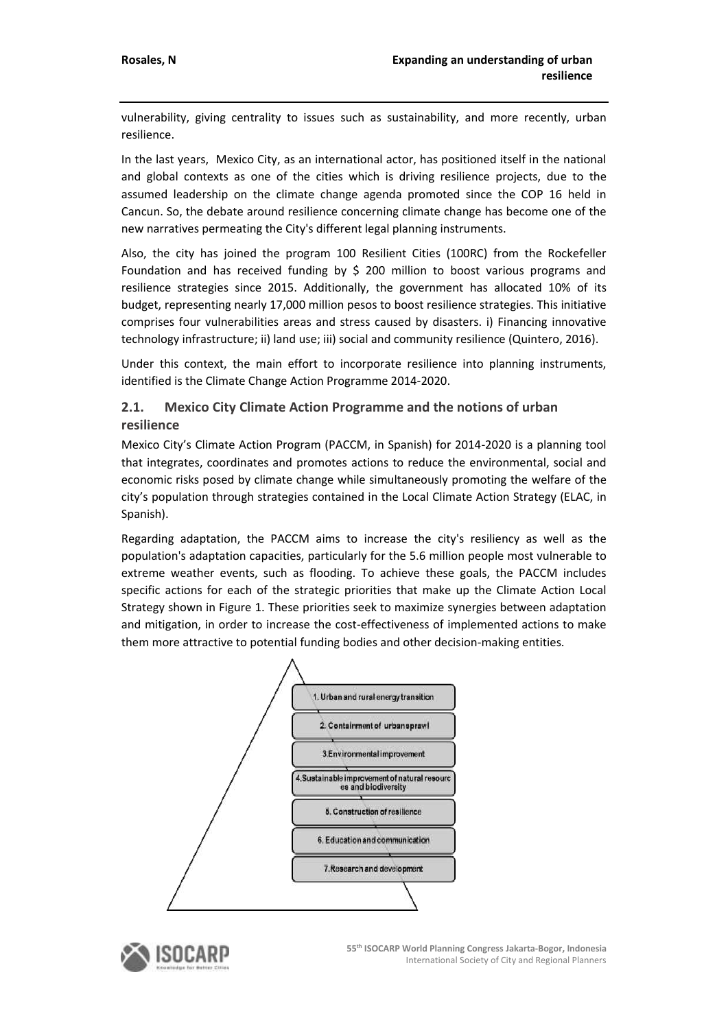vulnerability, giving centrality to issues such as sustainability, and more recently, urban resilience.

In the last years, Mexico City, as an international actor, has positioned itself in the national and global contexts as one of the cities which is driving resilience projects, due to the assumed leadership on the climate change agenda promoted since the COP 16 held in Cancun. So, the debate around resilience concerning climate change has become one of the new narratives permeating the City's different legal planning instruments.

Also, the city has joined the program 100 Resilient Cities (100RC) from the Rockefeller Foundation and has received funding by \$ 200 million to boost various programs and resilience strategies since 2015. Additionally, the government has allocated 10% of its budget, representing nearly 17,000 million pesos to boost resilience strategies. This initiative comprises four vulnerabilities areas and stress caused by disasters. i) Financing innovative technology infrastructure; ii) land use; iii) social and community resilience (Quintero, 2016).

Under this context, the main effort to incorporate resilience into planning instruments, identified is the Climate Change Action Programme 2014-2020.

#### **2.1. Mexico City Climate Action Programme and the notions of urban resilience**

Mexico City's Climate Action Program (PACCM, in Spanish) for 2014-2020 is a planning tool that integrates, coordinates and promotes actions to reduce the environmental, social and economic risks posed by climate change while simultaneously promoting the welfare of the city's population through strategies contained in the Local Climate Action Strategy (ELAC, in Spanish).

Regarding adaptation, the PACCM aims to increase the city's resiliency as well as the population's adaptation capacities, particularly for the 5.6 million people most vulnerable to extreme weather events, such as flooding. To achieve these goals, the PACCM includes specific actions for each of the strategic priorities that make up the Climate Action Local Strategy shown in Figure 1. These priorities seek to maximize synergies between adaptation and mitigation, in order to increase the cost-effectiveness of implemented actions to make them more attractive to potential funding bodies and other decision-making entities.



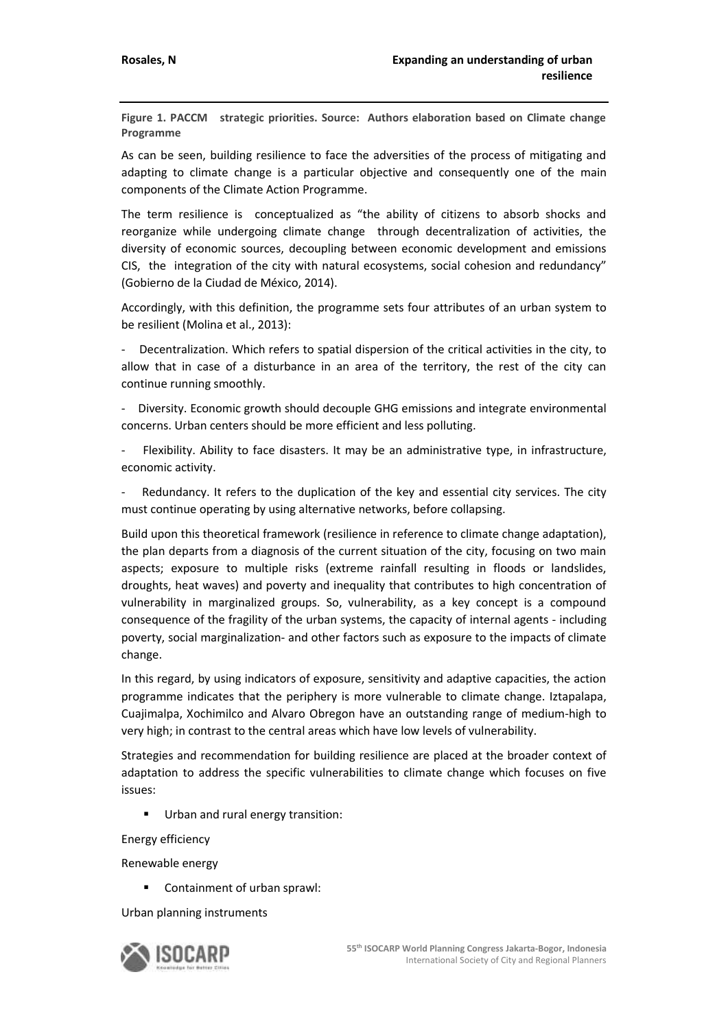**Figure 1. PACCM strategic priorities. Source: Authors elaboration based on Climate change Programme**

As can be seen, building resilience to face the adversities of the process of mitigating and adapting to climate change is a particular objective and consequently one of the main components of the Climate Action Programme.

The term resilience is conceptualized as "the ability of citizens to absorb shocks and reorganize while undergoing climate change through decentralization of activities, the diversity of economic sources, decoupling between economic development and emissions CIS, the integration of the city with natural ecosystems, social cohesion and redundancy" (Gobierno de la Ciudad de México, 2014).

Accordingly, with this definition, the programme sets four attributes of an urban system to be resilient (Molina et al., 2013):

- Decentralization. Which refers to spatial dispersion of the critical activities in the city, to allow that in case of a disturbance in an area of the territory, the rest of the city can continue running smoothly.

- Diversity. Economic growth should decouple GHG emissions and integrate environmental concerns. Urban centers should be more efficient and less polluting.

Flexibility. Ability to face disasters. It may be an administrative type, in infrastructure, economic activity.

Redundancy. It refers to the duplication of the key and essential city services. The city must continue operating by using alternative networks, before collapsing.

Build upon this theoretical framework (resilience in reference to climate change adaptation), the plan departs from a diagnosis of the current situation of the city, focusing on two main aspects; exposure to multiple risks (extreme rainfall resulting in floods or landslides, droughts, heat waves) and poverty and inequality that contributes to high concentration of vulnerability in marginalized groups. So, vulnerability, as a key concept is a compound consequence of the fragility of the urban systems, the capacity of internal agents - including poverty, social marginalization- and other factors such as exposure to the impacts of climate change.

In this regard, by using indicators of exposure, sensitivity and adaptive capacities, the action programme indicates that the periphery is more vulnerable to climate change. Iztapalapa, Cuajimalpa, Xochimilco and Alvaro Obregon have an outstanding range of medium-high to very high; in contrast to the central areas which have low levels of vulnerability.

Strategies and recommendation for building resilience are placed at the broader context of adaptation to address the specific vulnerabilities to climate change which focuses on five issues:

Urban and rural energy transition:

Energy efficiency

Renewable energy

Containment of urban sprawl:

Urban planning instruments

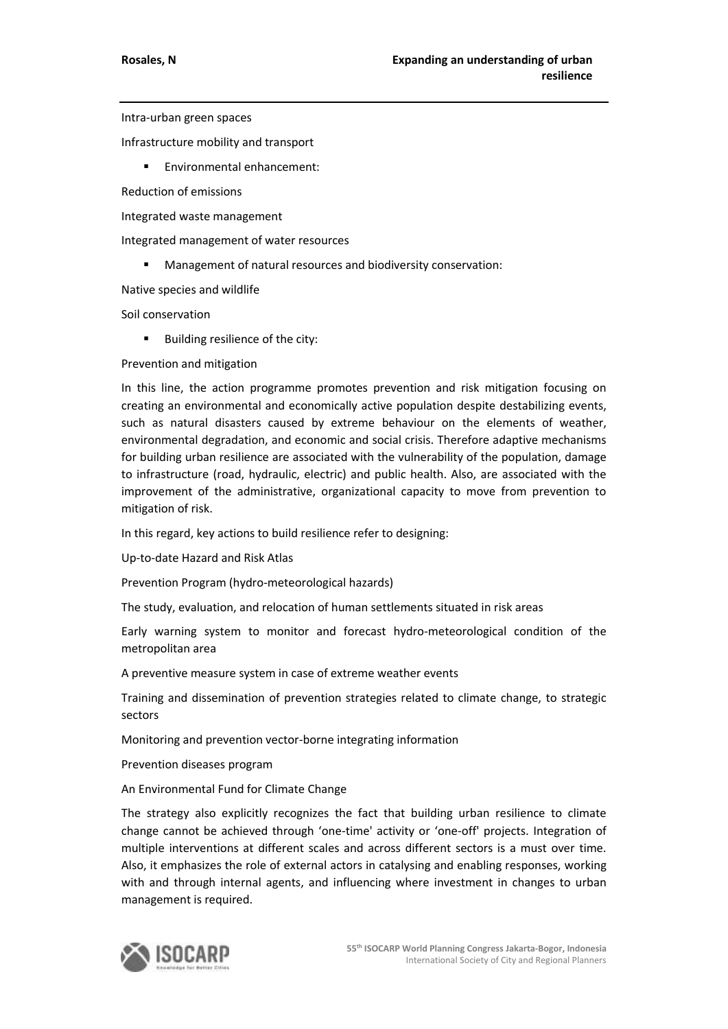Intra-urban green spaces

Infrastructure mobility and transport

**Environmental enhancement:** 

Reduction of emissions

Integrated waste management

Integrated management of water resources

Management of natural resources and biodiversity conservation:

Native species and wildlife

Soil conservation

Building resilience of the city:

Prevention and mitigation

In this line, the action programme promotes prevention and risk mitigation focusing on creating an environmental and economically active population despite destabilizing events, such as natural disasters caused by extreme behaviour on the elements of weather, environmental degradation, and economic and social crisis. Therefore adaptive mechanisms for building urban resilience are associated with the vulnerability of the population, damage to infrastructure (road, hydraulic, electric) and public health. Also, are associated with the improvement of the administrative, organizational capacity to move from prevention to mitigation of risk.

In this regard, key actions to build resilience refer to designing:

Up-to-date Hazard and Risk Atlas

Prevention Program (hydro-meteorological hazards)

The study, evaluation, and relocation of human settlements situated in risk areas

Early warning system to monitor and forecast hydro-meteorological condition of the metropolitan area

A preventive measure system in case of extreme weather events

Training and dissemination of prevention strategies related to climate change, to strategic sectors

Monitoring and prevention vector-borne integrating information

Prevention diseases program

An Environmental Fund for Climate Change

The strategy also explicitly recognizes the fact that building urban resilience to climate change cannot be achieved through 'one-time' activity or 'one-off' projects. Integration of multiple interventions at different scales and across different sectors is a must over time. Also, it emphasizes the role of external actors in catalysing and enabling responses, working with and through internal agents, and influencing where investment in changes to urban management is required.

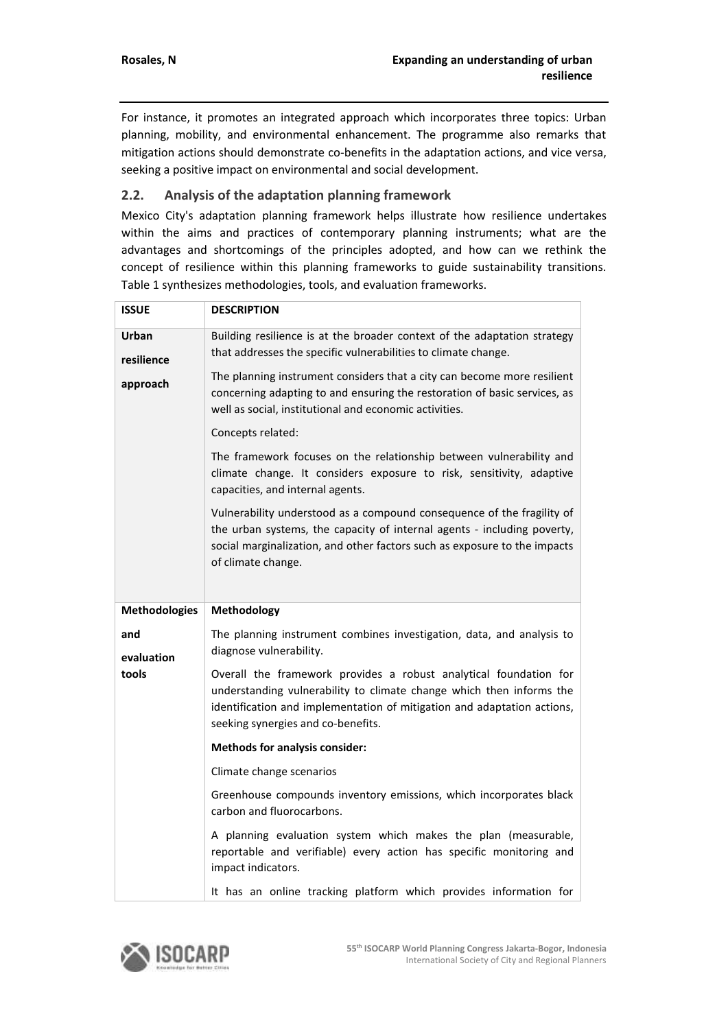For instance, it promotes an integrated approach which incorporates three topics: Urban planning, mobility, and environmental enhancement. The programme also remarks that mitigation actions should demonstrate co-benefits in the adaptation actions, and vice versa, seeking a positive impact on environmental and social development.

## **2.2. Analysis of the adaptation planning framework**

Mexico City's adaptation planning framework helps illustrate how resilience undertakes within the aims and practices of contemporary planning instruments; what are the advantages and shortcomings of the principles adopted, and how can we rethink the concept of resilience within this planning frameworks to guide sustainability transitions. Table 1 synthesizes methodologies, tools, and evaluation frameworks.

| <b>ISSUE</b>         | <b>DESCRIPTION</b>                                                                                                                                                                                                                                         |
|----------------------|------------------------------------------------------------------------------------------------------------------------------------------------------------------------------------------------------------------------------------------------------------|
| Urban<br>resilience  | Building resilience is at the broader context of the adaptation strategy<br>that addresses the specific vulnerabilities to climate change.                                                                                                                 |
| approach             | The planning instrument considers that a city can become more resilient<br>concerning adapting to and ensuring the restoration of basic services, as<br>well as social, institutional and economic activities.                                             |
|                      | Concepts related:                                                                                                                                                                                                                                          |
|                      | The framework focuses on the relationship between vulnerability and<br>climate change. It considers exposure to risk, sensitivity, adaptive<br>capacities, and internal agents.                                                                            |
|                      | Vulnerability understood as a compound consequence of the fragility of<br>the urban systems, the capacity of internal agents - including poverty,<br>social marginalization, and other factors such as exposure to the impacts<br>of climate change.       |
|                      |                                                                                                                                                                                                                                                            |
| <b>Methodologies</b> | Methodology                                                                                                                                                                                                                                                |
| and                  | The planning instrument combines investigation, data, and analysis to<br>diagnose vulnerability.                                                                                                                                                           |
| evaluation<br>tools  | Overall the framework provides a robust analytical foundation for<br>understanding vulnerability to climate change which then informs the<br>identification and implementation of mitigation and adaptation actions,<br>seeking synergies and co-benefits. |
|                      | <b>Methods for analysis consider:</b>                                                                                                                                                                                                                      |
|                      | Climate change scenarios                                                                                                                                                                                                                                   |
|                      | Greenhouse compounds inventory emissions, which incorporates black<br>carbon and fluorocarbons.                                                                                                                                                            |
|                      | A planning evaluation system which makes the plan (measurable,<br>reportable and verifiable) every action has specific monitoring and<br>impact indicators.                                                                                                |

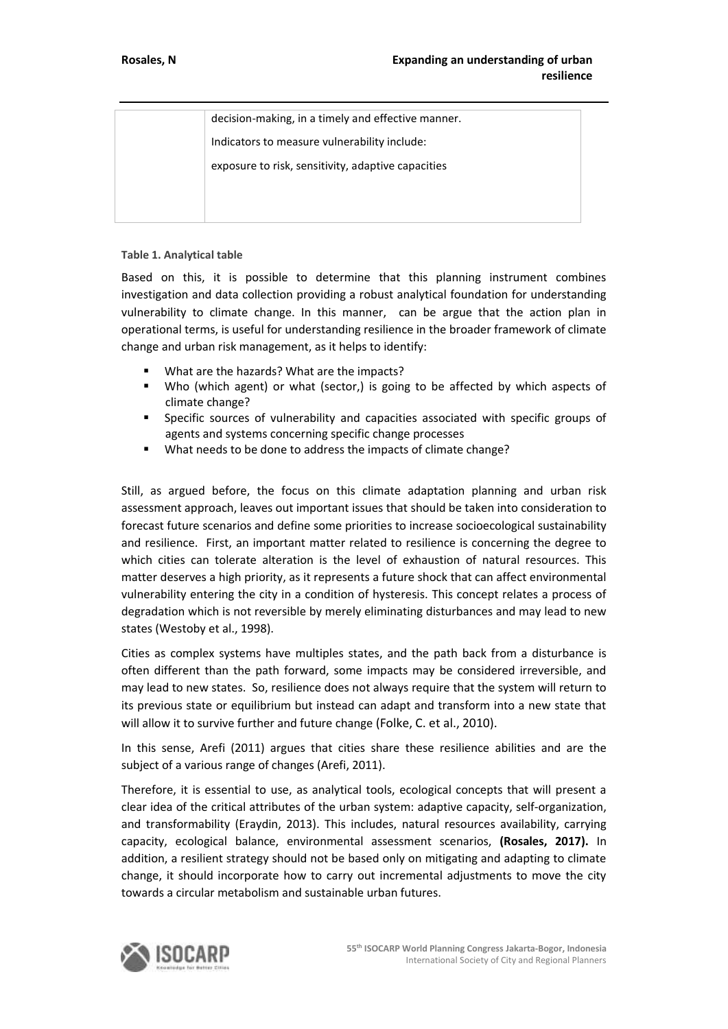| decision-making, in a timely and effective manner. |
|----------------------------------------------------|
| Indicators to measure vulnerability include:       |
| exposure to risk, sensitivity, adaptive capacities |
|                                                    |
|                                                    |

#### **Table 1. Analytical table**

Based on this, it is possible to determine that this planning instrument combines investigation and data collection providing a robust analytical foundation for understanding vulnerability to climate change. In this manner, can be argue that the action plan in operational terms, is useful for understanding resilience in the broader framework of climate change and urban risk management, as it helps to identify:

- What are the hazards? What are the impacts?
- Who (which agent) or what (sector,) is going to be affected by which aspects of climate change?
- Specific sources of vulnerability and capacities associated with specific groups of agents and systems concerning specific change processes
- What needs to be done to address the impacts of climate change?

Still, as argued before, the focus on this climate adaptation planning and urban risk assessment approach, leaves out important issues that should be taken into consideration to forecast future scenarios and define some priorities to increase socioecological sustainability and resilience. First, an important matter related to resilience is concerning the degree to which cities can tolerate alteration is the level of exhaustion of natural resources. This matter deserves a high priority, as it represents a future shock that can affect environmental vulnerability entering the city in a condition of hysteresis. This concept relates a process of degradation which is not reversible by merely eliminating disturbances and may lead to new states (Westoby et al., 1998).

Cities as complex systems have multiples states, and the path back from a disturbance is often different than the path forward, some impacts may be considered irreversible, and may lead to new states. So, resilience does not always require that the system will return to its previous state or equilibrium but instead can adapt and transform into a new state that will allow it to survive further and future change (Folke, C. et al., 2010).

In this sense, Arefi (2011) argues that cities share these resilience abilities and are the subject of a various range of changes (Arefi, 2011).

Therefore, it is essential to use, as analytical tools, ecological concepts that will present a clear idea of the critical attributes of the urban system: adaptive capacity, self-organization, and transformability (Eraydin, 2013). This includes, natural resources availability, carrying capacity, ecological balance, environmental assessment scenarios, **(Rosales, 2017).** In addition, a resilient strategy should not be based only on mitigating and adapting to climate change, it should incorporate how to carry out incremental adjustments to move the city towards a circular metabolism and sustainable urban futures.

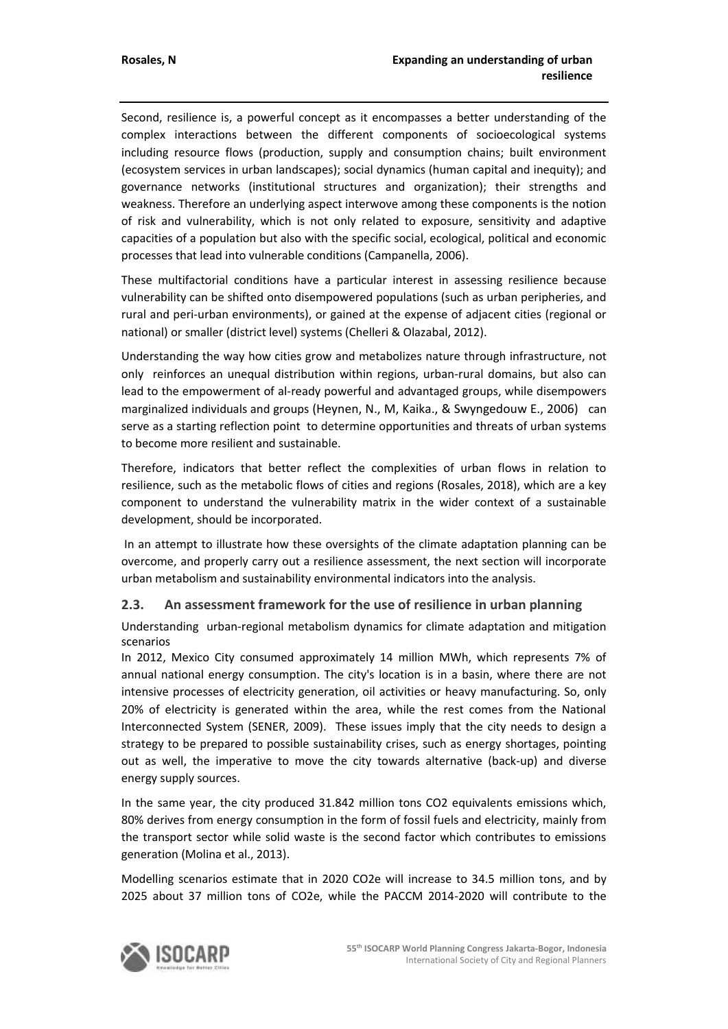Second, resilience is, a powerful concept as it encompasses a better understanding of the complex interactions between the different components of socioecological systems including resource flows (production, supply and consumption chains; built environment (ecosystem services in urban landscapes); social dynamics (human capital and inequity); and governance networks (institutional structures and organization); their strengths and weakness. Therefore an underlying aspect interwove among these components is the notion of risk and vulnerability, which is not only related to exposure, sensitivity and adaptive capacities of a population but also with the specific social, ecological, political and economic processes that lead into vulnerable conditions (Campanella, 2006).

These multifactorial conditions have a particular interest in assessing resilience because vulnerability can be shifted onto disempowered populations (such as urban peripheries, and rural and peri-urban environments), or gained at the expense of adjacent cities (regional or national) or smaller (district level) systems (Chelleri & Olazabal, 2012).

Understanding the way how cities grow and metabolizes nature through infrastructure, not only reinforces an unequal distribution within regions, urban-rural domains, but also can lead to the empowerment of al-ready powerful and advantaged groups, while disempowers marginalized individuals and groups (Heynen, N., M, Kaika., & Swyngedouw E., 2006) can serve as a starting reflection point to determine opportunities and threats of urban systems to become more resilient and sustainable.

Therefore, indicators that better reflect the complexities of urban flows in relation to resilience, such as the metabolic flows of cities and regions (Rosales, 2018), which are a key component to understand the vulnerability matrix in the wider context of a sustainable development, should be incorporated.

In an attempt to illustrate how these oversights of the climate adaptation planning can be overcome, and properly carry out a resilience assessment, the next section will incorporate urban metabolism and sustainability environmental indicators into the analysis.

#### **2.3. An assessment framework for the use of resilience in urban planning**

Understanding urban-regional metabolism dynamics for climate adaptation and mitigation scenarios

In 2012, Mexico City consumed approximately 14 million MWh, which represents 7% of annual national energy consumption. The city's location is in a basin, where there are not intensive processes of electricity generation, oil activities or heavy manufacturing. So, only 20% of electricity is generated within the area, while the rest comes from the National Interconnected System (SENER, 2009). These issues imply that the city needs to design a strategy to be prepared to possible sustainability crises, such as energy shortages, pointing out as well, the imperative to move the city towards alternative (back-up) and diverse energy supply sources.

In the same year, the city produced 31.842 million tons CO2 equivalents emissions which, 80% derives from energy consumption in the form of fossil fuels and electricity, mainly from the transport sector while solid waste is the second factor which contributes to emissions generation (Molina et al., 2013).

Modelling scenarios estimate that in 2020 CO2e will increase to 34.5 million tons, and by 2025 about 37 million tons of CO2e, while the PACCM 2014-2020 will contribute to the

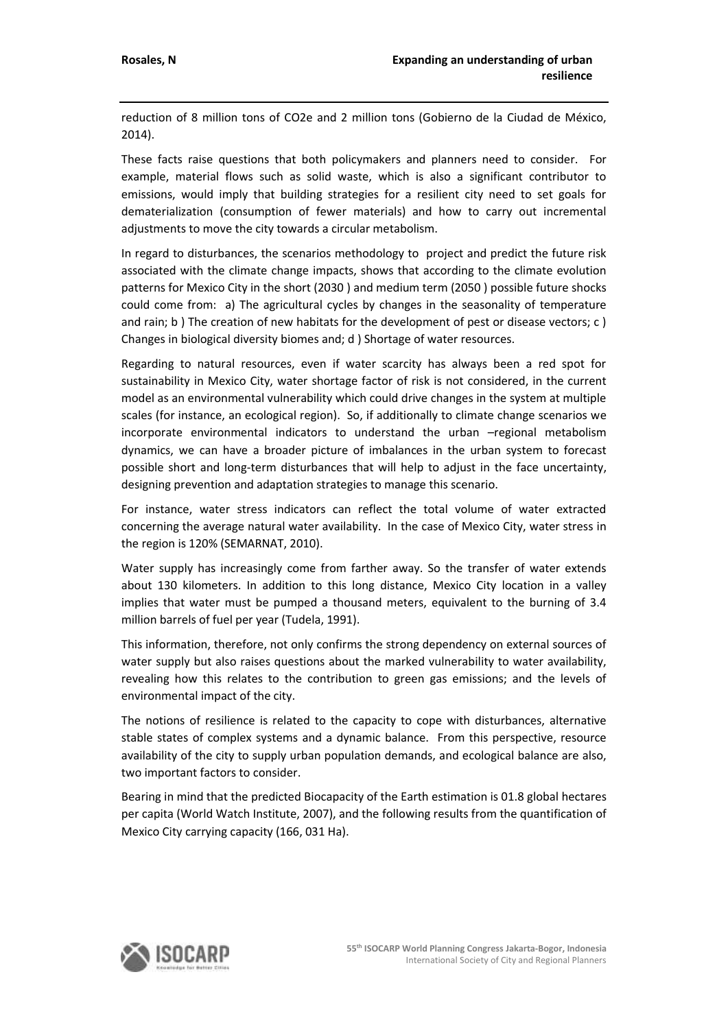reduction of 8 million tons of CO2e and 2 million tons (Gobierno de la Ciudad de México, 2014).

These facts raise questions that both policymakers and planners need to consider. For example, material flows such as solid waste, which is also a significant contributor to emissions, would imply that building strategies for a resilient city need to set goals for dematerialization (consumption of fewer materials) and how to carry out incremental adjustments to move the city towards a circular metabolism.

In regard to disturbances, the scenarios methodology to project and predict the future risk associated with the climate change impacts, shows that according to the climate evolution patterns for Mexico City in the short (2030 ) and medium term (2050 ) possible future shocks could come from: a) The agricultural cycles by changes in the seasonality of temperature and rain; b ) The creation of new habitats for the development of pest or disease vectors; c ) Changes in biological diversity biomes and; d ) Shortage of water resources.

Regarding to natural resources, even if water scarcity has always been a red spot for sustainability in Mexico City, water shortage factor of risk is not considered, in the current model as an environmental vulnerability which could drive changes in the system at multiple scales (for instance, an ecological region). So, if additionally to climate change scenarios we incorporate environmental indicators to understand the urban –regional metabolism dynamics, we can have a broader picture of imbalances in the urban system to forecast possible short and long-term disturbances that will help to adjust in the face uncertainty, designing prevention and adaptation strategies to manage this scenario.

For instance, water stress indicators can reflect the total volume of water extracted concerning the average natural water availability. In the case of Mexico City, water stress in the region is 120% (SEMARNAT, 2010).

Water supply has increasingly come from farther away. So the transfer of water extends about 130 kilometers. In addition to this long distance, Mexico City location in a valley implies that water must be pumped a thousand meters, equivalent to the burning of 3.4 million barrels of fuel per year (Tudela, 1991).

This information, therefore, not only confirms the strong dependency on external sources of water supply but also raises questions about the marked vulnerability to water availability, revealing how this relates to the contribution to green gas emissions; and the levels of environmental impact of the city.

The notions of resilience is related to the capacity to cope with disturbances, alternative stable states of complex systems and a dynamic balance. From this perspective, resource availability of the city to supply urban population demands, and ecological balance are also, two important factors to consider.

Bearing in mind that the predicted Biocapacity of the Earth estimation is 01.8 global hectares per capita (World Watch Institute, 2007), and the following results from the quantification of Mexico City carrying capacity (166, 031 Ha).

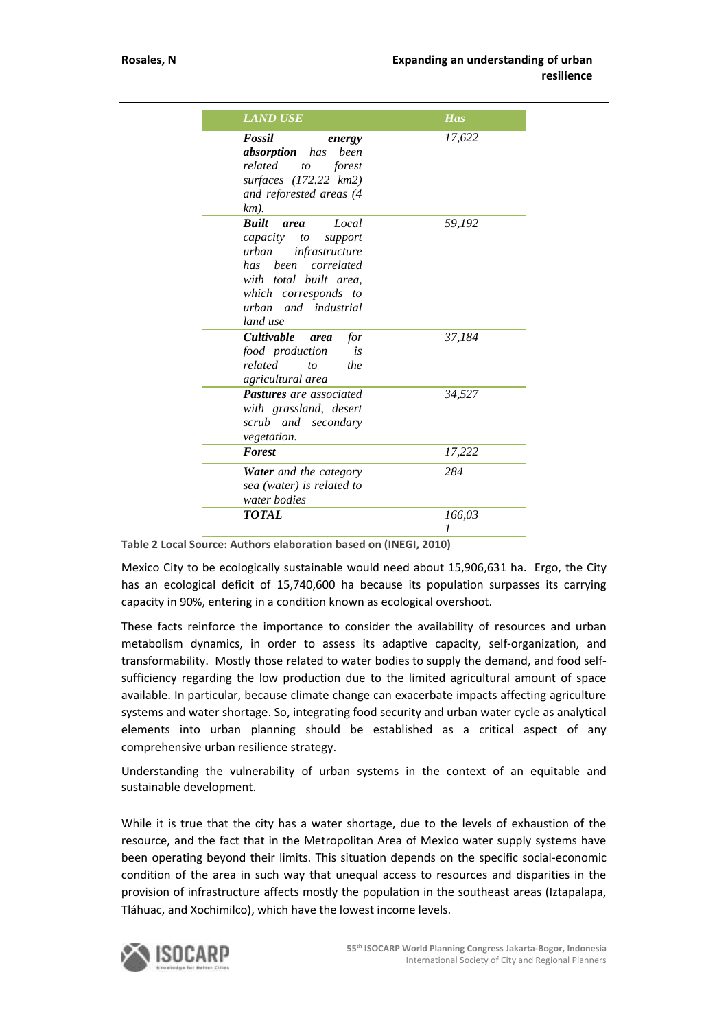| <b>LAND USE</b>                                                                                                                                                                                        | <b>Has</b>  |
|--------------------------------------------------------------------------------------------------------------------------------------------------------------------------------------------------------|-------------|
| Fossil<br>energy<br><b>absorption</b> has<br>been<br>related<br>forest<br>to<br>surfaces (172.22 km2)<br>and reforested areas (4<br>km).                                                               | 17,622      |
| <b>Ruilt</b><br>Local<br><i>area</i><br>capacity to<br>support<br>urban<br>infrastructure<br>has been correlated<br>with total built area.<br>which corresponds to<br>urban and industrial<br>land use | 59,192      |
| <b>Cultivable</b><br>for<br>area<br>food production<br>is<br>related<br>the<br>to<br>agricultural area                                                                                                 | 37.184      |
| <b>Pastures</b> are associated<br>with grassland, desert<br>scrub and secondary<br><i>vegetation.</i>                                                                                                  | 34,527      |
| <b>Forest</b>                                                                                                                                                                                          | 17,222      |
| <b>Water</b> and the category<br>sea (water) is related to<br>water bodies                                                                                                                             | 284         |
| <b>TOTAL</b>                                                                                                                                                                                           | 166,03<br>1 |

**Table 2 Local Source: Authors elaboration based on (INEGI, 2010)**

Mexico City to be ecologically sustainable would need about 15,906,631 ha. Ergo, the City has an ecological deficit of 15,740,600 ha because its population surpasses its carrying capacity in 90%, entering in a condition known as ecological overshoot.

These facts reinforce the importance to consider the availability of resources and urban metabolism dynamics, in order to assess its adaptive capacity, self-organization, and transformability. Mostly those related to water bodies to supply the demand, and food selfsufficiency regarding the low production due to the limited agricultural amount of space available. In particular, because climate change can exacerbate impacts affecting agriculture systems and water shortage. So, integrating food security and urban water cycle as analytical elements into urban planning should be established as a critical aspect of any comprehensive urban resilience strategy.

Understanding the vulnerability of urban systems in the context of an equitable and sustainable development.

While it is true that the city has a water shortage, due to the levels of exhaustion of the resource, and the fact that in the Metropolitan Area of Mexico water supply systems have been operating beyond their limits. This situation depends on the specific social-economic condition of the area in such way that unequal access to resources and disparities in the provision of infrastructure affects mostly the population in the southeast areas (Iztapalapa, Tláhuac, and Xochimilco), which have the lowest income levels.

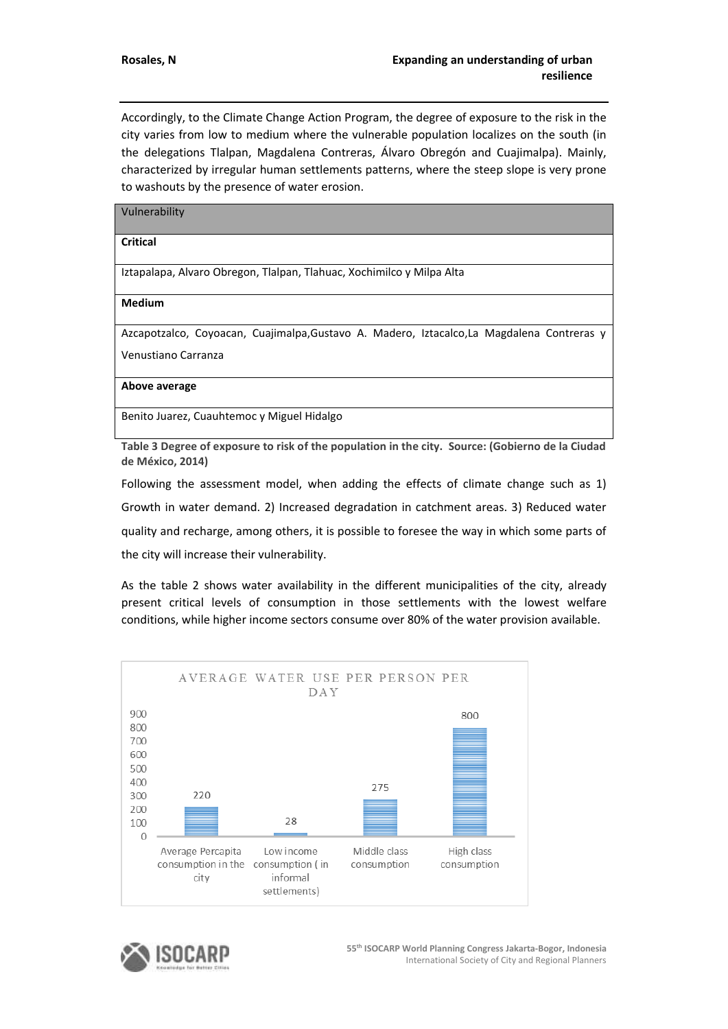Accordingly, to the Climate Change Action Program, the degree of exposure to the risk in the city varies from low to medium where the vulnerable population localizes on the south (in the delegations Tlalpan, Magdalena Contreras, Álvaro Obregón and Cuajimalpa). Mainly, characterized by irregular human settlements patterns, where the steep slope is very prone to washouts by the presence of water erosion.

| Vulnerability |  |
|---------------|--|
|---------------|--|

#### **Critical**

Iztapalapa, Alvaro Obregon, Tlalpan, Tlahuac, Xochimilco y Milpa Alta

**Medium**

Azcapotzalco, Coyoacan, Cuajimalpa,Gustavo A. Madero, Iztacalco,La Magdalena Contreras y Venustiano Carranza

**Above average** 

Benito Juarez, Cuauhtemoc y Miguel Hidalgo

**Table 3 Degree of exposure to risk of the population in the city. Source: (Gobierno de la Ciudad de México, 2014)**

Following the assessment model, when adding the effects of climate change such as 1) Growth in water demand. 2) Increased degradation in catchment areas. 3) Reduced water quality and recharge, among others, it is possible to foresee the way in which some parts of the city will increase their vulnerability.

As the table 2 shows water availability in the different municipalities of the city, already present critical levels of consumption in those settlements with the lowest welfare conditions, while higher income sectors consume over 80% of the water provision available.



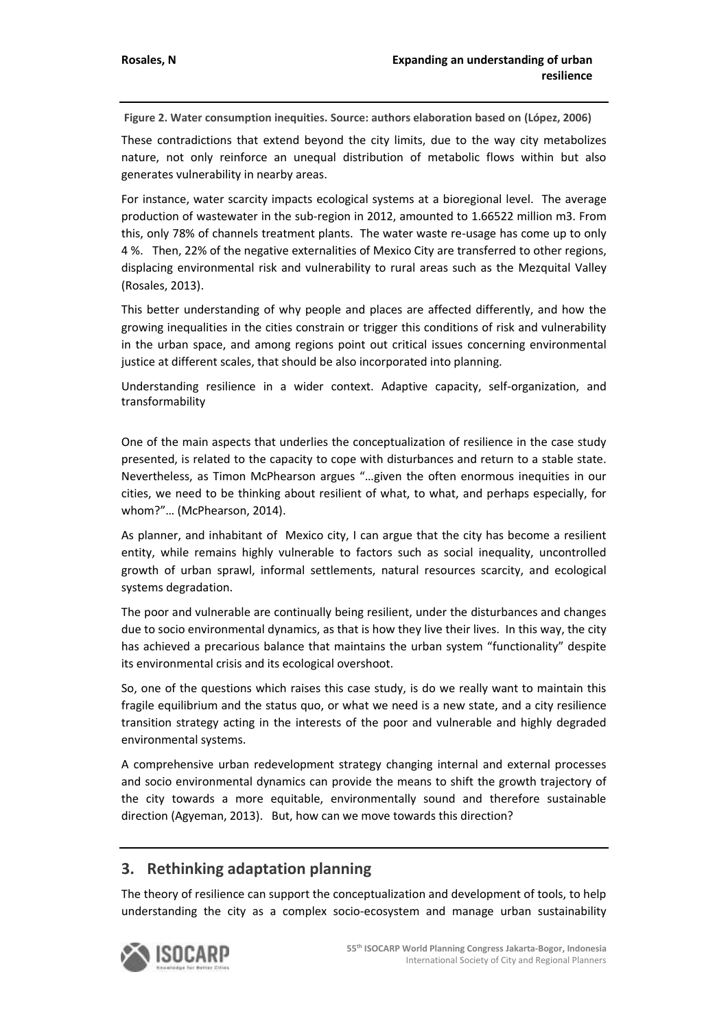**Figure 2. Water consumption inequities. Source: authors elaboration based on (López, 2006)** 

These contradictions that extend beyond the city limits, due to the way city metabolizes nature, not only reinforce an unequal distribution of metabolic flows within but also generates vulnerability in nearby areas.

For instance, water scarcity impacts ecological systems at a bioregional level. The average production of wastewater in the sub-region in 2012, amounted to 1.66522 million m3. From this, only 78% of channels treatment plants. The water waste re-usage has come up to only 4 %. Then, 22% of the negative externalities of Mexico City are transferred to other regions, displacing environmental risk and vulnerability to rural areas such as the Mezquital Valley (Rosales, 2013).

This better understanding of why people and places are affected differently, and how the growing inequalities in the cities constrain or trigger this conditions of risk and vulnerability in the urban space, and among regions point out critical issues concerning environmental justice at different scales, that should be also incorporated into planning.

Understanding resilience in a wider context. Adaptive capacity, self-organization, and transformability

One of the main aspects that underlies the conceptualization of resilience in the case study presented, is related to the capacity to cope with disturbances and return to a stable state. Nevertheless, as Timon McPhearson argues "…given the often enormous inequities in our cities, we need to be thinking about resilient of what, to what, and perhaps especially, for whom?"… (McPhearson, 2014).

As planner, and inhabitant of Mexico city, I can argue that the city has become a resilient entity, while remains highly vulnerable to factors such as social inequality, uncontrolled growth of urban sprawl, informal settlements, natural resources scarcity, and ecological systems degradation.

The poor and vulnerable are continually being resilient, under the disturbances and changes due to socio environmental dynamics, as that is how they live their lives. In this way, the city has achieved a precarious balance that maintains the urban system "functionality" despite its environmental crisis and its ecological overshoot.

So, one of the questions which raises this case study, is do we really want to maintain this fragile equilibrium and the status quo, or what we need is a new state, and a city resilience transition strategy acting in the interests of the poor and vulnerable and highly degraded environmental systems.

A comprehensive urban redevelopment strategy changing internal and external processes and socio environmental dynamics can provide the means to shift the growth trajectory of the city towards a more equitable, environmentally sound and therefore sustainable direction (Agyeman, 2013). But, how can we move towards this direction?

# **3. Rethinking adaptation planning**

The theory of resilience can support the conceptualization and development of tools, to help understanding the city as a complex socio-ecosystem and manage urban sustainability

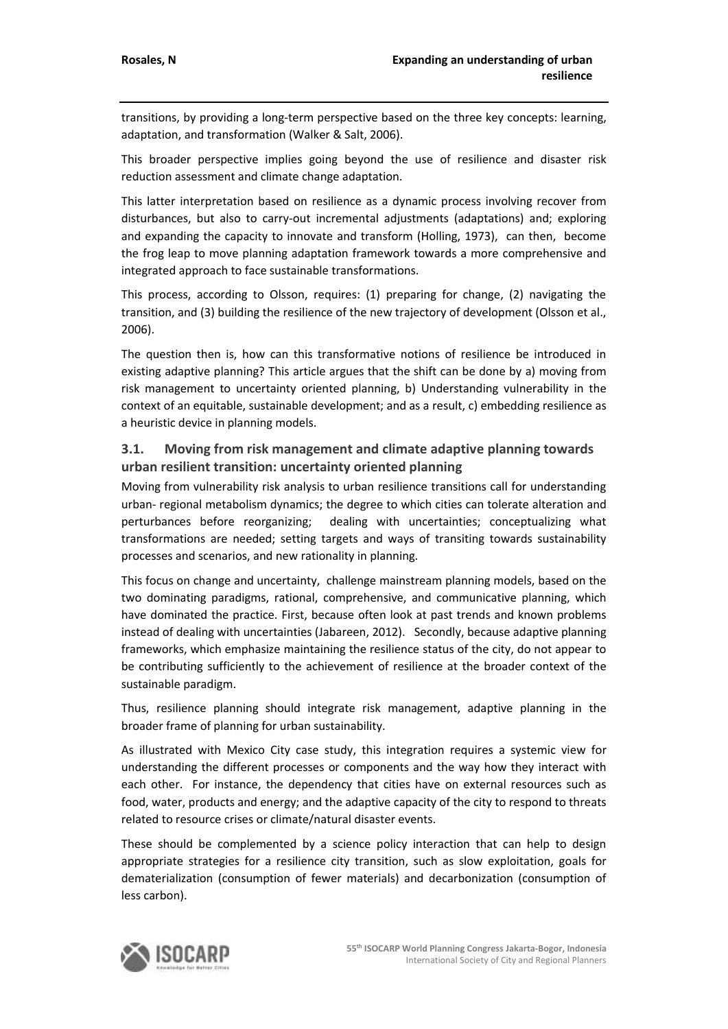transitions, by providing a long-term perspective based on the three key concepts: learning, adaptation, and transformation (Walker & Salt, 2006).

This broader perspective implies going beyond the use of resilience and disaster risk reduction assessment and climate change adaptation.

This latter interpretation based on resilience as a dynamic process involving recover from disturbances, but also to carry-out incremental adjustments (adaptations) and; exploring and expanding the capacity to innovate and transform (Holling, 1973), can then, become the frog leap to move planning adaptation framework towards a more comprehensive and integrated approach to face sustainable transformations.

This process, according to Olsson, requires: (1) preparing for change, (2) navigating the transition, and (3) building the resilience of the new trajectory of development (Olsson et al., 2006).

The question then is, how can this transformative notions of resilience be introduced in existing adaptive planning? This article argues that the shift can be done by a) moving from risk management to uncertainty oriented planning, b) Understanding vulnerability in the context of an equitable, sustainable development; and as a result, c) embedding resilience as a heuristic device in planning models.

## **3.1. Moving from risk management and climate adaptive planning towards urban resilient transition: uncertainty oriented planning**

Moving from vulnerability risk analysis to urban resilience transitions call for understanding urban- regional metabolism dynamics; the degree to which cities can tolerate alteration and perturbances before reorganizing; dealing with uncertainties; conceptualizing what transformations are needed; setting targets and ways of transiting towards sustainability processes and scenarios, and new rationality in planning.

This focus on change and uncertainty, challenge mainstream planning models, based on the two dominating paradigms, rational, comprehensive, and communicative planning, which have dominated the practice. First, because often look at past trends and known problems instead of dealing with uncertainties (Jabareen, 2012). Secondly, because adaptive planning frameworks, which emphasize maintaining the resilience status of the city, do not appear to be contributing sufficiently to the achievement of resilience at the broader context of the sustainable paradigm.

Thus, resilience planning should integrate risk management, adaptive planning in the broader frame of planning for urban sustainability.

As illustrated with Mexico City case study, this integration requires a systemic view for understanding the different processes or components and the way how they interact with each other. For instance, the dependency that cities have on external resources such as food, water, products and energy; and the adaptive capacity of the city to respond to threats related to resource crises or climate/natural disaster events.

These should be complemented by a science policy interaction that can help to design appropriate strategies for a resilience city transition, such as slow exploitation, goals for dematerialization (consumption of fewer materials) and decarbonization (consumption of less carbon).

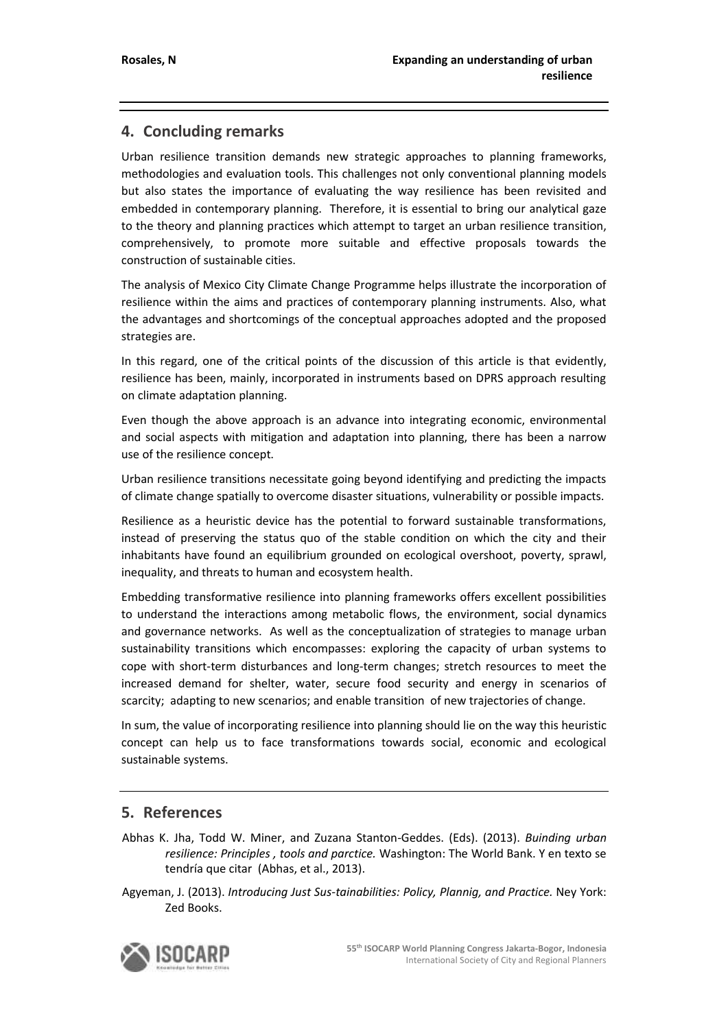# **4. Concluding remarks**

Urban resilience transition demands new strategic approaches to planning frameworks, methodologies and evaluation tools. This challenges not only conventional planning models but also states the importance of evaluating the way resilience has been revisited and embedded in contemporary planning. Therefore, it is essential to bring our analytical gaze to the theory and planning practices which attempt to target an urban resilience transition, comprehensively, to promote more suitable and effective proposals towards the construction of sustainable cities.

The analysis of Mexico City Climate Change Programme helps illustrate the incorporation of resilience within the aims and practices of contemporary planning instruments. Also, what the advantages and shortcomings of the conceptual approaches adopted and the proposed strategies are.

In this regard, one of the critical points of the discussion of this article is that evidently, resilience has been, mainly, incorporated in instruments based on DPRS approach resulting on climate adaptation planning.

Even though the above approach is an advance into integrating economic, environmental and social aspects with mitigation and adaptation into planning, there has been a narrow use of the resilience concept.

Urban resilience transitions necessitate going beyond identifying and predicting the impacts of climate change spatially to overcome disaster situations, vulnerability or possible impacts.

Resilience as a heuristic device has the potential to forward sustainable transformations, instead of preserving the status quo of the stable condition on which the city and their inhabitants have found an equilibrium grounded on ecological overshoot, poverty, sprawl, inequality, and threats to human and ecosystem health.

Embedding transformative resilience into planning frameworks offers excellent possibilities to understand the interactions among metabolic flows, the environment, social dynamics and governance networks. As well as the conceptualization of strategies to manage urban sustainability transitions which encompasses: exploring the capacity of urban systems to cope with short-term disturbances and long-term changes; stretch resources to meet the increased demand for shelter, water, secure food security and energy in scenarios of scarcity; adapting to new scenarios; and enable transition of new trajectories of change.

In sum, the value of incorporating resilience into planning should lie on the way this heuristic concept can help us to face transformations towards social, economic and ecological sustainable systems.

# **5. References**

- Abhas K. Jha, Todd W. Miner, and Zuzana Stanton-Geddes. (Eds). (2013). *Buinding urban resilience: Principles , tools and parctice.* Washington: The World Bank. Y en texto se tendría que citar (Abhas, et al., 2013).
- Agyeman, J. (2013). *Introducing Just Sus-tainabilities: Policy, Plannig, and Practice.* Ney York: Zed Books.

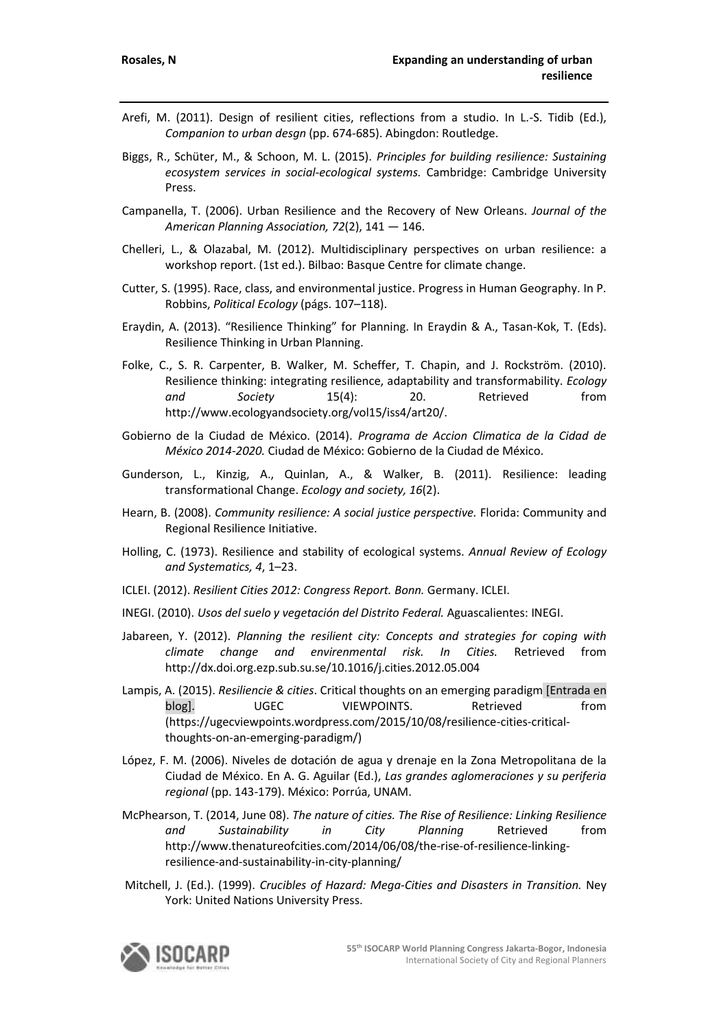- Arefi, M. (2011). Design of resilient cities, reflections from a studio. In L.-S. Tidib (Ed.), *Companion to urban desgn* (pp. 674-685). Abingdon: Routledge.
- Biggs, R., Schüter, M., & Schoon, M. L. (2015). *Principles for building resilience: Sustaining ecosystem services in social-ecological systems.* Cambridge: Cambridge University Press.
- Campanella, T. (2006). Urban Resilience and the Recovery of New Orleans. *Journal of the American Planning Association, 72*(2), 141 — 146.
- Chelleri, L., & Olazabal, M. (2012). Multidisciplinary perspectives on urban resilience: a workshop report. (1st ed.). Bilbao: Basque Centre for climate change.
- Cutter, S. (1995). Race, class, and environmental justice. Progress in Human Geography. In P. Robbins, *Political Ecology* (págs. 107–118).
- Eraydin, A. (2013). "Resilience Thinking" for Planning. In Eraydin & A., Tasan-Kok, T. (Eds). Resilience Thinking in Urban Planning.
- Folke, C., S. R. Carpenter, B. Walker, M. Scheffer, T. Chapin, and J. Rockström. (2010). Resilience thinking: integrating resilience, adaptability and transformability. *Ecology and Society* 15(4): 20. Retrieved from http://www.ecologyandsociety.org/vol15/iss4/art20/.
- Gobierno de la Ciudad de México. (2014). *Programa de Accion Climatica de la Cidad de México 2014-2020.* Ciudad de México: Gobierno de la Ciudad de México.
- Gunderson, L., Kinzig, A., Quinlan, A., & Walker, B. (2011). Resilience: leading transformational Change. *Ecology and society, 16*(2).
- Hearn, B. (2008). *Community resilience: A social justice perspective.* Florida: Community and Regional Resilience Initiative.
- Holling, C. (1973). Resilience and stability of ecological systems. *Annual Review of Ecology and Systematics, 4*, 1–23.
- ICLEI. (2012). *Resilient Cities 2012: Congress Report. Bonn.* Germany. ICLEI.
- INEGI. (2010). *Usos del suelo y vegetación del Distrito Federal.* Aguascalientes: INEGI.
- Jabareen, Y. (2012). *Planning the resilient city: Concepts and strategies for coping with climate change and envirenmental risk. In Cities.* Retrieved from http://dx.doi.org.ezp.sub.su.se/10.1016/j.cities.2012.05.004
- Lampis, A. (2015). *Resiliencie & cities*. Critical thoughts on an emerging paradigm [Entrada en blog]. UGEC VIEWPOINTS. Retrieved from (https://ugecviewpoints.wordpress.com/2015/10/08/resilience-cities-criticalthoughts-on-an-emerging-paradigm/)
- López, F. M. (2006). Niveles de dotación de agua y drenaje en la Zona Metropolitana de la Ciudad de México. En A. G. Aguilar (Ed.), *Las grandes aglomeraciones y su periferia regional* (pp. 143-179). México: Porrúa, UNAM.
- McPhearson, T. (2014, June 08). *The nature of cities. The Rise of Resilience: Linking Resilience and Sustainability in City Planning* Retrieved from http://www.thenatureofcities.com/2014/06/08/the-rise-of-resilience-linkingresilience-and-sustainability-in-city-planning/
- Mitchell, J. (Ed.). (1999). *Crucibles of Hazard: Mega-Cities and Disasters in Transition.* Ney York: United Nations University Press.